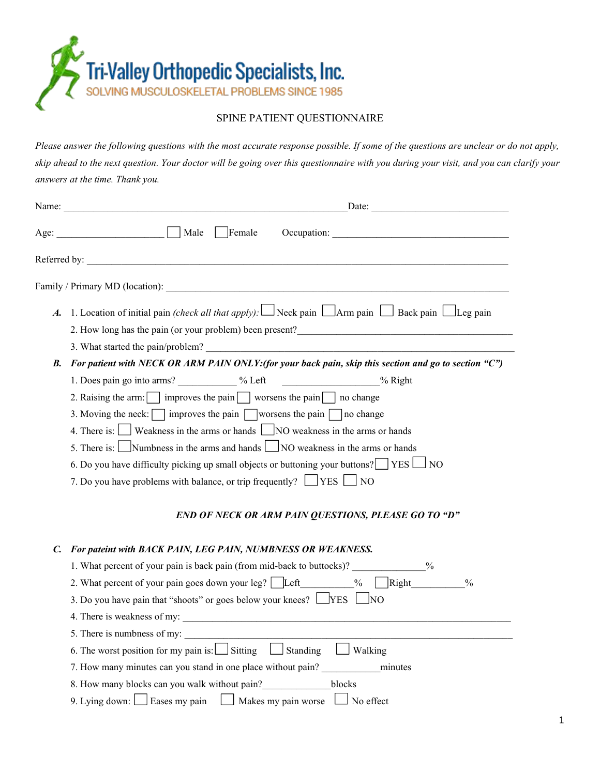

## SPINE PATIENT QUESTIONNAIRE

Please answer the following questions with the most accurate response possible. If some of the questions are unclear or do not apply, skip ahead to the next question. Your doctor will be going over this questionnaire with you during your visit, and you can clarify your *answers at the time. Thank you.*

|    | $\text{Date:}$                                                                                                                                                                                                                                                                                                                                                                                                                                                                                                                                                                                                                             |
|----|--------------------------------------------------------------------------------------------------------------------------------------------------------------------------------------------------------------------------------------------------------------------------------------------------------------------------------------------------------------------------------------------------------------------------------------------------------------------------------------------------------------------------------------------------------------------------------------------------------------------------------------------|
|    |                                                                                                                                                                                                                                                                                                                                                                                                                                                                                                                                                                                                                                            |
|    | Referred by: $\qquad \qquad$                                                                                                                                                                                                                                                                                                                                                                                                                                                                                                                                                                                                               |
|    |                                                                                                                                                                                                                                                                                                                                                                                                                                                                                                                                                                                                                                            |
|    | A. 1. Location of initial pain <i>(check all that apply)</i> : $\Box$ Neck pain $\Box$ Arm pain $\Box$ Back pain $\Box$ Leg pain<br>2. How long has the pain (or your problem) been present?<br><u>Letting and the pain (or your problem) been present?</u>                                                                                                                                                                                                                                                                                                                                                                                |
| В. | For patient with NECK OR ARM PAIN ONLY: (for your back pain, skip this section and go to section "C")                                                                                                                                                                                                                                                                                                                                                                                                                                                                                                                                      |
|    | 1. Does pain go into arms? ____________ % Left ______________ % Right<br>2. Raising the arm: $\Box$ improves the pain $\Box$ worsens the pain $\Box$ no change<br>3. Moving the neck: $\Box$ improves the pain $\Box$ worsens the pain $\Box$ no change<br>4. There is: $\Box$ Weakness in the arms or hands $\Box$ NO weakness in the arms or hands<br>5. There is: $\Box$ Numbness in the arms and hands $\Box$ NO weakness in the arms or hands<br>6. Do you have difficulty picking up small objects or buttoning your buttons? $\Box$ YES $\Box$ NO<br>7. Do you have problems with balance, or trip frequently? $\Box$ YES $\Box$ NO |
|    | END OF NECK OR ARM PAIN QUESTIONS, PLEASE GO TO "D"                                                                                                                                                                                                                                                                                                                                                                                                                                                                                                                                                                                        |
| C. | For pateint with BACK PAIN, LEG PAIN, NUMBNESS OR WEAKNESS.                                                                                                                                                                                                                                                                                                                                                                                                                                                                                                                                                                                |
|    | 1. What percent of your pain is back pain (from mid-back to buttocks)?                                                                                                                                                                                                                                                                                                                                                                                                                                                                                                                                                                     |
|    | 2. What percent of your pain goes down your leg? Left $\%$ Right<br>$\frac{0}{0}$                                                                                                                                                                                                                                                                                                                                                                                                                                                                                                                                                          |
|    | 3. Do you have pain that "shoots" or goes below your knees? $\Box$ YES $\Box$ NO                                                                                                                                                                                                                                                                                                                                                                                                                                                                                                                                                           |
|    |                                                                                                                                                                                                                                                                                                                                                                                                                                                                                                                                                                                                                                            |
|    | 5. There is numbness of my:                                                                                                                                                                                                                                                                                                                                                                                                                                                                                                                                                                                                                |
|    | 6. The worst position for my pain is: $\Box$ Sitting $\Box$ Standing $\Box$ Walking                                                                                                                                                                                                                                                                                                                                                                                                                                                                                                                                                        |
|    |                                                                                                                                                                                                                                                                                                                                                                                                                                                                                                                                                                                                                                            |
|    | 8. How many blocks can you walk without pain? blocks                                                                                                                                                                                                                                                                                                                                                                                                                                                                                                                                                                                       |
|    | 9. Lying down: Sass my pain Saskes my pain worse Sasket No effect                                                                                                                                                                                                                                                                                                                                                                                                                                                                                                                                                                          |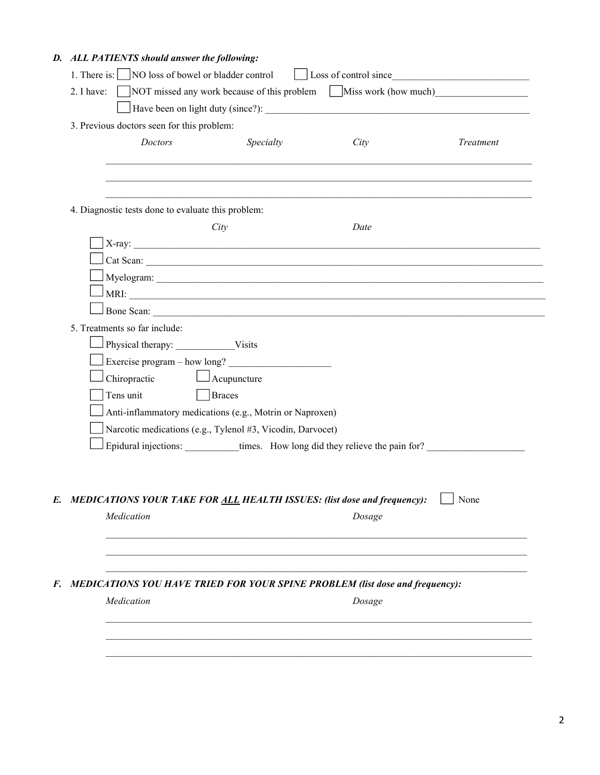## *D. ALL PATIENTS should answer the following:*

| 3. Previous doctors seen for this problem:                                                           |           |        |           |
|------------------------------------------------------------------------------------------------------|-----------|--------|-----------|
| Doctors                                                                                              | Specialty | City   | Treatment |
|                                                                                                      |           |        |           |
|                                                                                                      |           |        |           |
| 4. Diagnostic tests done to evaluate this problem:                                                   |           |        |           |
| City                                                                                                 |           | Date   |           |
| X-ray:                                                                                               |           |        |           |
| Cat Scan:                                                                                            |           |        |           |
|                                                                                                      |           |        |           |
| $\frac{1}{2}$ MRI:                                                                                   |           |        |           |
|                                                                                                      |           |        |           |
| 5. Treatments so far include:                                                                        |           |        |           |
| Physical therapy: Visits                                                                             |           |        |           |
| Exercise program – how long?                                                                         |           |        |           |
| Chiropractic<br>$\Box$ Acupuncture                                                                   |           |        |           |
| Tens unit<br><b>Braces</b>                                                                           |           |        |           |
| Anti-inflammatory medications (e.g., Motrin or Naproxen)                                             |           |        |           |
| Narcotic medications (e.g., Tylenol #3, Vicodin, Darvocet)                                           |           |        |           |
| Epidural injections: __________times. How long did they relieve the pain for? ______________________ |           |        |           |
|                                                                                                      |           |        |           |
|                                                                                                      |           |        |           |
| E. MEDICATIONS YOUR TAKE FOR ALL HEALTH ISSUES: (list dose and frequency):                           |           |        | None      |
| Medication                                                                                           |           | Dosage |           |
|                                                                                                      |           |        |           |
|                                                                                                      |           |        |           |
| F. MEDICATIONS YOU HAVE TRIED FOR YOUR SPINE PROBLEM (list dose and frequency):                      |           |        |           |
| Medication                                                                                           |           |        |           |
|                                                                                                      |           | Dosage |           |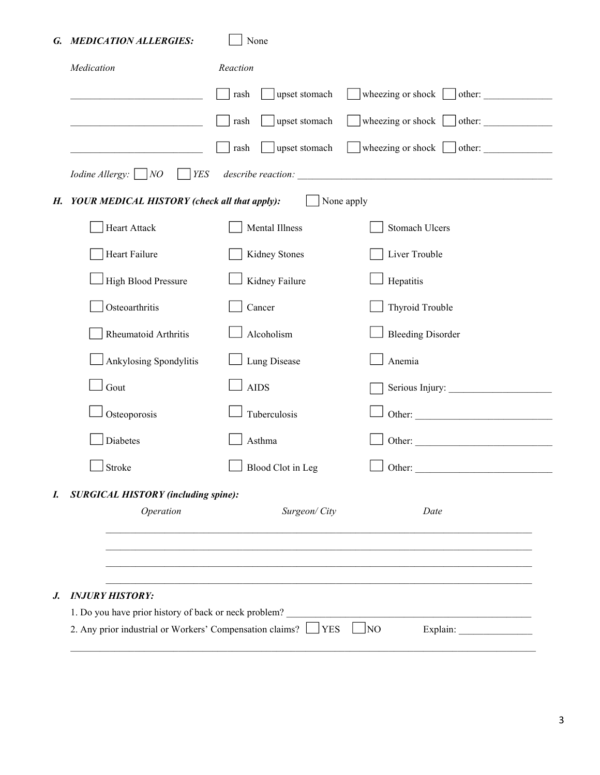## *G. MEDICATION ALLERGIES:* None

| Medication                                                    | Reaction                                                     |                                        |  |  |  |  |
|---------------------------------------------------------------|--------------------------------------------------------------|----------------------------------------|--|--|--|--|
|                                                               | upset stomach<br>rash                                        | wheezing or shock $\Box$ other:        |  |  |  |  |
|                                                               | upset stomach<br>rash                                        | wheezing or shock  <br>$\theta$ other: |  |  |  |  |
|                                                               | upset stomach<br>rash                                        | wheezing or shock $\Box$ other: $\Box$ |  |  |  |  |
| <i>Iodine Allergy</i> : $\Box$ <i>NO</i><br>$ $ <i>YES</i>    |                                                              |                                        |  |  |  |  |
| H. YOUR MEDICAL HISTORY (check all that apply):<br>None apply |                                                              |                                        |  |  |  |  |
| Heart Attack                                                  | Mental Illness                                               | <b>Stomach Ulcers</b>                  |  |  |  |  |
| Heart Failure                                                 | Kidney Stones                                                | Liver Trouble                          |  |  |  |  |
| <b>High Blood Pressure</b>                                    | Kidney Failure                                               | Hepatitis                              |  |  |  |  |
| Osteoarthritis                                                | Cancer                                                       | Thyroid Trouble                        |  |  |  |  |
| Rheumatoid Arthritis                                          | Alcoholism                                                   | <b>Bleeding Disorder</b>               |  |  |  |  |
| Ankylosing Spondylitis                                        | Lung Disease                                                 | Anemia                                 |  |  |  |  |
| Gout                                                          | <b>AIDS</b>                                                  | Serious Injury:                        |  |  |  |  |
| Osteoporosis                                                  | Tuberculosis                                                 |                                        |  |  |  |  |
| Diabetes                                                      | Asthma                                                       |                                        |  |  |  |  |
| Stroke                                                        | Blood Clot in Leg                                            | Other:                                 |  |  |  |  |
| <b>SURGICAL HISTORY (including spine):</b>                    |                                                              |                                        |  |  |  |  |
| Operation                                                     | Surgeon/City                                                 | Date                                   |  |  |  |  |
|                                                               |                                                              |                                        |  |  |  |  |
|                                                               |                                                              |                                        |  |  |  |  |
| <b>INJURY HISTORY:</b>                                        |                                                              |                                        |  |  |  |  |
| 1. Do you have prior history of back or neck problem?         | 2. Any prior industrial or Workers' Compensation claims? VES |                                        |  |  |  |  |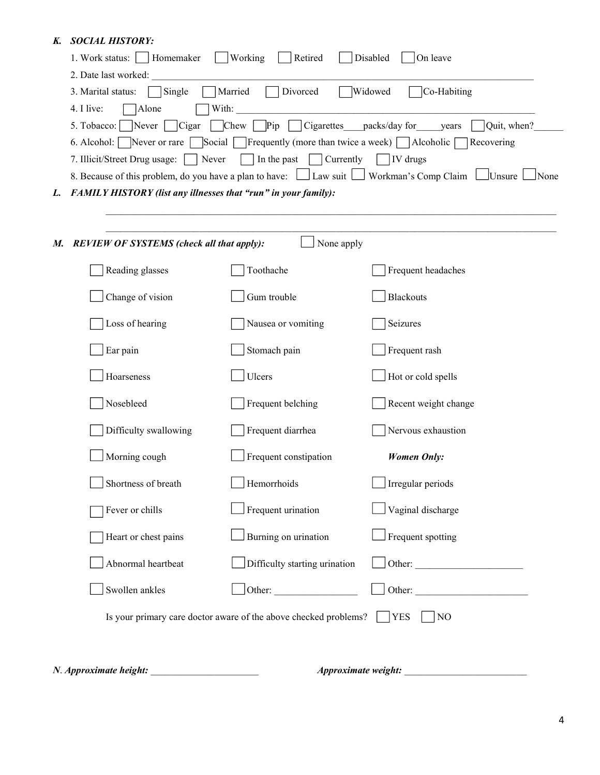## *K. SOCIAL HISTORY:*

|  | 1. Work status:     Homemaker                                                                                                            | Working<br>Retired               | Disabled<br>$ On$ leave                                                                                |  |  |  |  |  |
|--|------------------------------------------------------------------------------------------------------------------------------------------|----------------------------------|--------------------------------------------------------------------------------------------------------|--|--|--|--|--|
|  | 2. Date last worked:<br>Divorced<br>Widowed<br>Married<br>Co-Habiting<br>3. Marital status:<br>Single                                    |                                  |                                                                                                        |  |  |  |  |  |
|  | 4. I live:<br>Alone<br>With:<br><b>Pip</b> Cigarettes packs/day for years<br>$\sim$ Quit, when?<br>Chew<br>5. Tobacco:<br>Never<br>Cigar |                                  |                                                                                                        |  |  |  |  |  |
|  |                                                                                                                                          |                                  |                                                                                                        |  |  |  |  |  |
|  | Social Frequently (more than twice a week) Alcoholic Recovering<br>6. Alcohol: Never or rare                                             |                                  |                                                                                                        |  |  |  |  |  |
|  | 7. Illicit/Street Drug usage:                                                                                                            | Never<br>In the past   Currently | $\Box$ IV drugs                                                                                        |  |  |  |  |  |
|  |                                                                                                                                          |                                  | 8. Because of this problem, do you have a plan to have: Law suit Law Norkman's Comp Claim LUnsure None |  |  |  |  |  |
|  | L. FAMILY HISTORY (list any illnesses that "run" in your family):                                                                        |                                  |                                                                                                        |  |  |  |  |  |
|  |                                                                                                                                          |                                  |                                                                                                        |  |  |  |  |  |
|  | None apply<br>M. REVIEW OF SYSTEMS (check all that apply):                                                                               |                                  |                                                                                                        |  |  |  |  |  |
|  | Reading glasses                                                                                                                          | Toothache                        | Frequent headaches                                                                                     |  |  |  |  |  |
|  | Change of vision                                                                                                                         | Gum trouble                      | <b>Blackouts</b>                                                                                       |  |  |  |  |  |
|  | Loss of hearing                                                                                                                          | Nausea or vomiting               | Seizures                                                                                               |  |  |  |  |  |
|  | Ear pain                                                                                                                                 | Stomach pain                     | Frequent rash                                                                                          |  |  |  |  |  |
|  | Hoarseness                                                                                                                               | Ulcers                           | Hot or cold spells                                                                                     |  |  |  |  |  |
|  | Nosebleed                                                                                                                                | Frequent belching                | Recent weight change                                                                                   |  |  |  |  |  |
|  | Difficulty swallowing                                                                                                                    | Frequent diarrhea                | Nervous exhaustion                                                                                     |  |  |  |  |  |
|  | Morning cough                                                                                                                            | Frequent constipation            | <b>Women Only:</b>                                                                                     |  |  |  |  |  |
|  | Shortness of breath                                                                                                                      | Hemorrhoids                      | $\Box$ Irregular periods                                                                               |  |  |  |  |  |
|  | Fever or chills                                                                                                                          | Frequent urination               | Vaginal discharge                                                                                      |  |  |  |  |  |
|  | Heart or chest pains                                                                                                                     | Burning on urination             | Frequent spotting                                                                                      |  |  |  |  |  |
|  | Abnormal heartbeat                                                                                                                       | Difficulty starting urination    |                                                                                                        |  |  |  |  |  |
|  |                                                                                                                                          |                                  |                                                                                                        |  |  |  |  |  |

*N*. *Approximate height:* \_\_\_\_\_\_\_\_\_\_\_\_\_\_\_\_\_\_\_\_\_\_ *Approximate weight:* \_\_\_\_\_\_\_\_\_\_\_\_\_\_\_\_\_\_\_\_\_\_\_\_\_